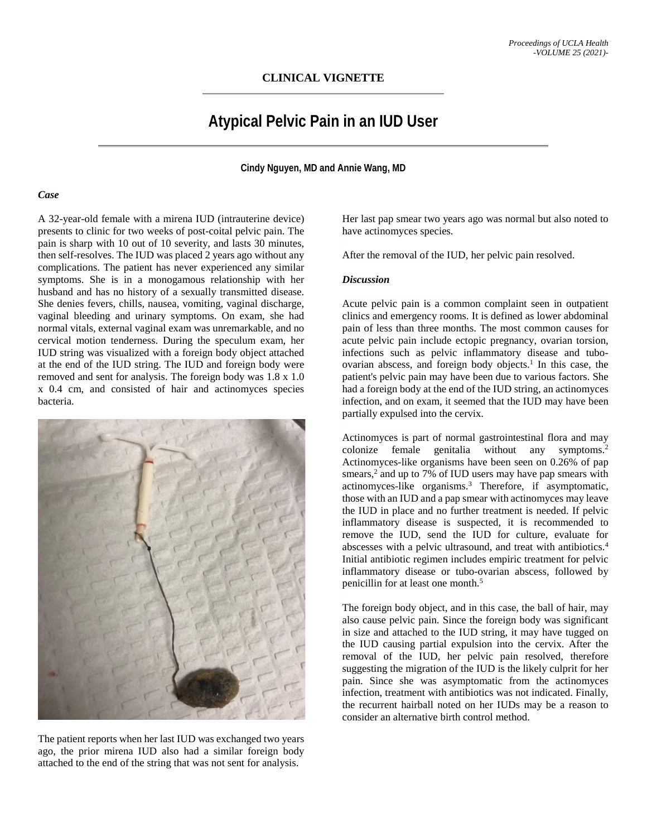## **Atypical Pelvic Pain in an IUD User**

**Cindy Nguyen, MD and Annie Wang, MD**

## *Case*

A 32-year-old female with a mirena IUD (intrauterine device) presents to clinic for two weeks of post-coital pelvic pain. The pain is sharp with 10 out of 10 severity, and lasts 30 minutes, then self-resolves. The IUD was placed 2 years ago without any complications. The patient has never experienced any similar symptoms. She is in a monogamous relationship with her husband and has no history of a sexually transmitted disease. She denies fevers, chills, nausea, vomiting, vaginal discharge, vaginal bleeding and urinary symptoms. On exam, she had normal vitals, external vaginal exam was unremarkable, and no cervical motion tenderness. During the speculum exam, her IUD string was visualized with a foreign body object attached at the end of the IUD string. The IUD and foreign body were removed and sent for analysis. The foreign body was 1.8 x 1.0 x 0.4 cm, and consisted of hair and actinomyces species bacteria.



The patient reports when her last IUD was exchanged two years ago, the prior mirena IUD also had a similar foreign body attached to the end of the string that was not sent for analysis.

Her last pap smear two years ago was normal but also noted to have actinomyces species.

After the removal of the IUD, her pelvic pain resolved.

## *Discussion*

Acute pelvic pain is a common complaint seen in outpatient clinics and emergency rooms. It is defined as lower abdominal pain of less than three months. The most common causes for acute pelvic pain include ectopic pregnancy, ovarian torsion, infections such as pelvic inflammatory disease and tuboovarian abscess, and foreign body objects.<sup>1</sup> In this case, the patient's pelvic pain may have been due to various factors. She had a foreign body at the end of the IUD string, an actinomyces infection, and on exam, it seemed that the IUD may have been partially expulsed into the cervix.

Actinomyces is part of normal gastrointestinal flora and may colonize female genitalia without any symptoms.<sup>2</sup> Actinomyces-like organisms have been seen on 0.26% of pap smears, <sup>2</sup> and up to 7% of IUD users may have pap smears with actinomyces-like organisms.3 Therefore, if asymptomatic, those with an IUD and a pap smear with actinomyces may leave the IUD in place and no further treatment is needed. If pelvic inflammatory disease is suspected, it is recommended to remove the IUD, send the IUD for culture, evaluate for abscesses with a pelvic ultrasound, and treat with antibiotics.4 Initial antibiotic regimen includes empiric treatment for pelvic inflammatory disease or tubo-ovarian abscess, followed by penicillin for at least one month.5

The foreign body object, and in this case, the ball of hair, may also cause pelvic pain. Since the foreign body was significant in size and attached to the IUD string, it may have tugged on the IUD causing partial expulsion into the cervix. After the removal of the IUD, her pelvic pain resolved, therefore suggesting the migration of the IUD is the likely culprit for her pain. Since she was asymptomatic from the actinomyces infection, treatment with antibiotics was not indicated. Finally, the recurrent hairball noted on her IUDs may be a reason to consider an alternative birth control method.